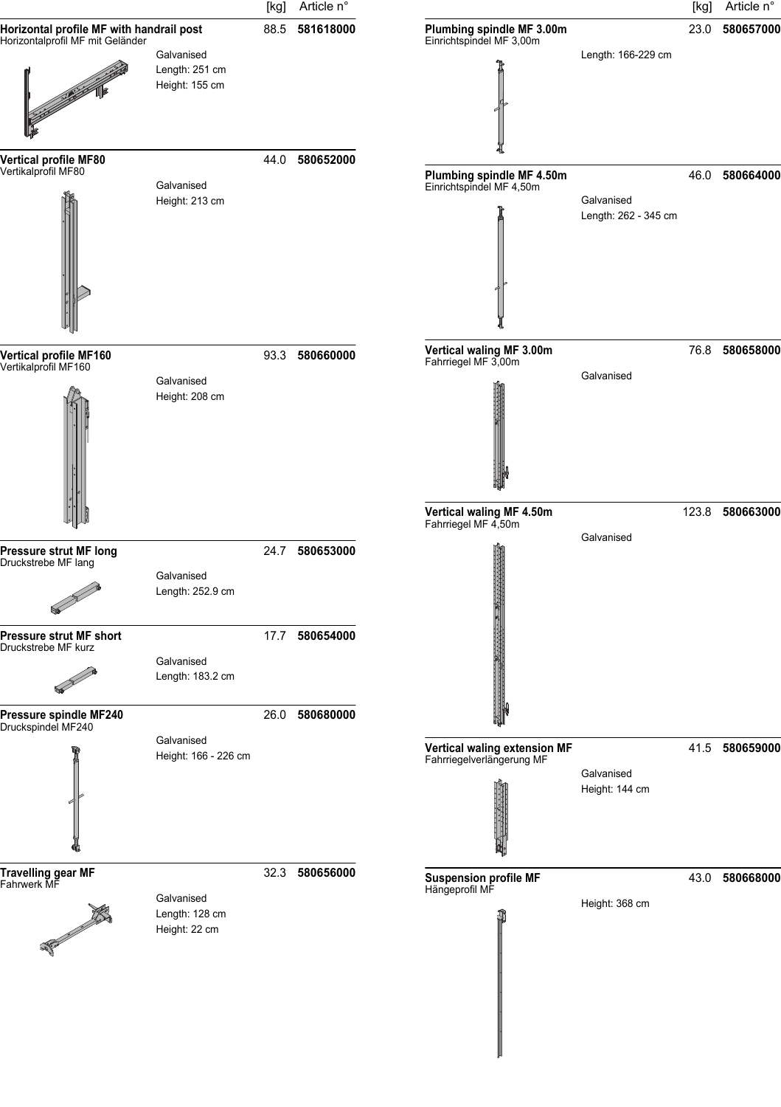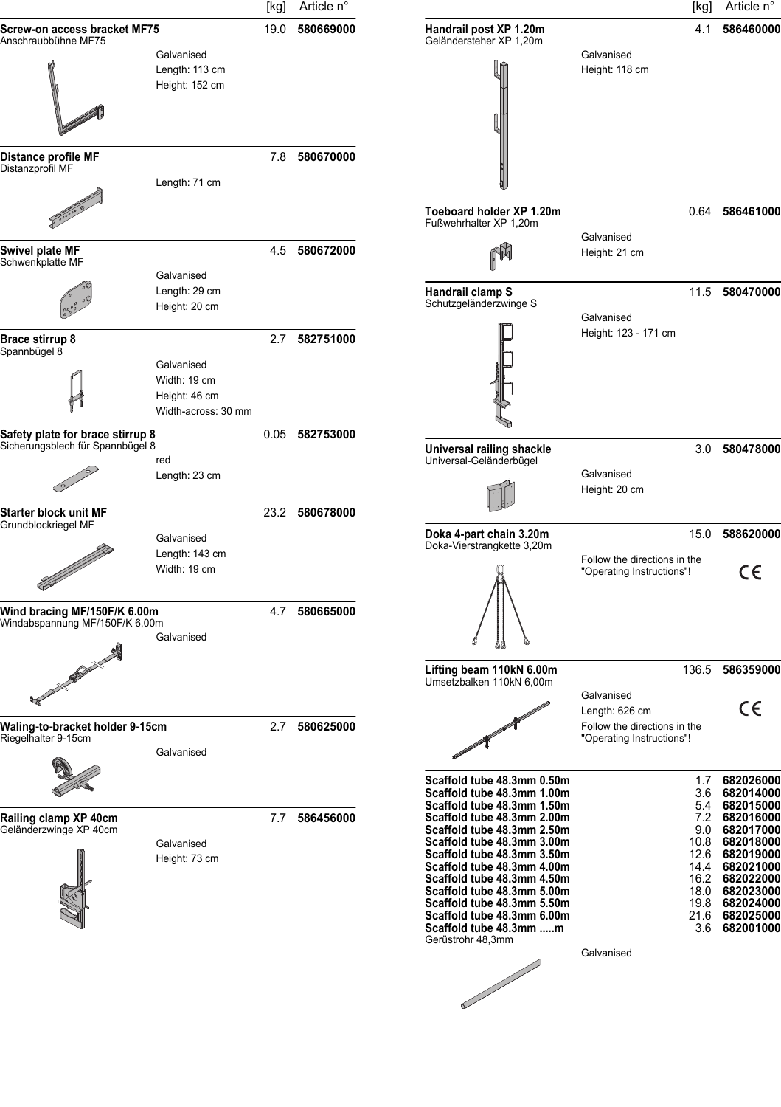|                                                                                                                       |                                                                    | [kg] | Article n°     |                                                                                                                                                                                                                                                                                                                                                                                       |                                                                             | [kg]                                                                            | Article n°                                                                                                                                                    |
|-----------------------------------------------------------------------------------------------------------------------|--------------------------------------------------------------------|------|----------------|---------------------------------------------------------------------------------------------------------------------------------------------------------------------------------------------------------------------------------------------------------------------------------------------------------------------------------------------------------------------------------------|-----------------------------------------------------------------------------|---------------------------------------------------------------------------------|---------------------------------------------------------------------------------------------------------------------------------------------------------------|
| Screw-on access bracket MF75<br>Anschraubbühne MF75                                                                   |                                                                    | 19.0 | 580669000      | Handrail post XP 1.20m<br>Geländersteher XP 1,20m                                                                                                                                                                                                                                                                                                                                     |                                                                             | 4.1                                                                             | 586460000                                                                                                                                                     |
|                                                                                                                       | Galvanised<br>Length: 113 cm<br>Height: 152 cm                     |      |                |                                                                                                                                                                                                                                                                                                                                                                                       | Galvanised<br>Height: 118 cm                                                |                                                                                 |                                                                                                                                                               |
| Distance profile MF<br>Distanzprofil MF                                                                               |                                                                    |      | 7.8 580670000  |                                                                                                                                                                                                                                                                                                                                                                                       |                                                                             |                                                                                 |                                                                                                                                                               |
|                                                                                                                       | Length: 71 cm                                                      |      |                | Toeboard holder XP 1.20m<br>Fußwehrhalter XP 1.20m                                                                                                                                                                                                                                                                                                                                    |                                                                             |                                                                                 | 0.64 586461000                                                                                                                                                |
| Swivel plate MF<br>Schwenkplatte MF                                                                                   | Galvanised                                                         |      | 4.5 580672000  |                                                                                                                                                                                                                                                                                                                                                                                       | Galvanised<br>Height: 21 cm                                                 |                                                                                 |                                                                                                                                                               |
|                                                                                                                       | Length: 29 cm<br>Height: 20 cm                                     |      |                | Handrail clamp S<br>Schutzgeländerzwinge S                                                                                                                                                                                                                                                                                                                                            | Galvanised                                                                  |                                                                                 | 11.5 580470000                                                                                                                                                |
| Brace stirrup 8<br>Spannbügel 8                                                                                       | Galvanised<br>Width: 19 cm<br>Height: 46 cm<br>Width-across: 30 mm |      | 2.7 582751000  |                                                                                                                                                                                                                                                                                                                                                                                       | Height: 123 - 171 cm                                                        |                                                                                 |                                                                                                                                                               |
| Safety plate for brace stirrup 8<br>Sicherungsblech für Spannbügel 8                                                  |                                                                    |      | 0.05 582753000 | Universal railing shackle                                                                                                                                                                                                                                                                                                                                                             |                                                                             |                                                                                 | 3.0 580478000                                                                                                                                                 |
|                                                                                                                       | red<br>Length: 23 cm                                               |      |                | Universal-Geländerbügel                                                                                                                                                                                                                                                                                                                                                               | Galvanised<br>Height: 20 cm                                                 |                                                                                 |                                                                                                                                                               |
| Starter block unit MF<br>Grundblockriegel MF                                                                          |                                                                    |      | 23.2 580678000 | Doka 4-part chain 3.20m                                                                                                                                                                                                                                                                                                                                                               |                                                                             | 15.0                                                                            | 588620000                                                                                                                                                     |
|                                                                                                                       | Galvanised<br>Length: 143 cm<br>Width: 19 cm                       |      |                | Doka-Vierstrangkette 3,20m                                                                                                                                                                                                                                                                                                                                                            | Follow the directions in the<br>"Operating Instructions"!                   |                                                                                 | CE                                                                                                                                                            |
| Wind bracing MF/150F/K 6.00m<br>Windabspannung MF/150F/K 6,00m                                                        | Galvanised                                                         | 4.7  | 580665000      |                                                                                                                                                                                                                                                                                                                                                                                       |                                                                             |                                                                                 |                                                                                                                                                               |
| <b>Contract Contract Contract Contract Contract Contract Contract Contract Contract Contract Contract Contract Co</b> |                                                                    |      |                | Lifting beam 110kN 6.00m<br>Umsetzbalken 110kN 6,00m                                                                                                                                                                                                                                                                                                                                  | Galvanised                                                                  |                                                                                 | 136.5 586359000                                                                                                                                               |
| Waling-to-bracket holder 9-15cm<br>Riegelhalter 9-15cm                                                                |                                                                    | 2.7  | 580625000      |                                                                                                                                                                                                                                                                                                                                                                                       | Length: 626 cm<br>Follow the directions in the<br>"Operating Instructions"! |                                                                                 | $\epsilon$                                                                                                                                                    |
|                                                                                                                       | Galvanised                                                         |      |                | Scaffold tube 48.3mm 0.50m                                                                                                                                                                                                                                                                                                                                                            |                                                                             | 1.7                                                                             | 682026000                                                                                                                                                     |
| Railing clamp XP 40cm<br>Geländerzwinge XP 40cm                                                                       | Galvanised<br>Height: 73 cm                                        | 7.7  | 586456000      | Scaffold tube 48.3mm 1.00m<br>Scaffold tube 48.3mm 1.50m<br>Scaffold tube 48.3mm 2.00m<br>Scaffold tube 48.3mm 2.50m<br>Scaffold tube 48.3mm 3.00m<br>Scaffold tube 48.3mm 3.50m<br>Scaffold tube 48.3mm 4.00m<br>Scaffold tube 48.3mm 4.50m<br>Scaffold tube 48.3mm 5.00m<br>Scaffold tube 48.3mm 5.50m<br>Scaffold tube 48.3mm 6.00m<br>Scaffold tube 48.3mm m<br>Gerüstrohr 48,3mm | Galvanised                                                                  | 3.6<br>5.4<br>7.2<br>9.0<br>10.8<br>12.6<br>14.4<br>16.2<br>18.0<br>19.8<br>3.6 | 682014000<br>682015000<br>682016000<br>682017000<br>682018000<br>682019000<br>682021000<br>682022000<br>682023000<br>682024000<br>21.6 682025000<br>682001000 |
|                                                                                                                       |                                                                    |      |                |                                                                                                                                                                                                                                                                                                                                                                                       |                                                                             |                                                                                 |                                                                                                                                                               |